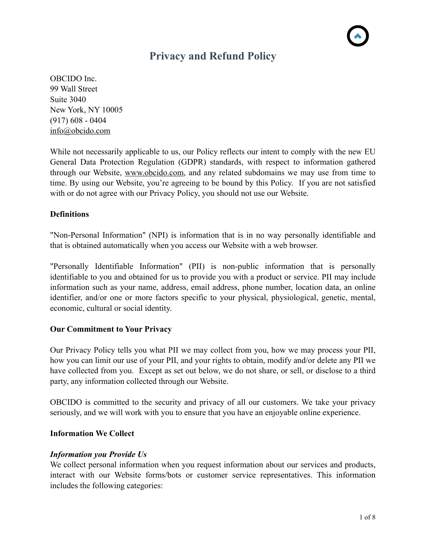# **Privacy and Refund Policy**

OBCIDO Inc. 99 Wall Street Suite 3040 New York, NY 10005 (917) 608 - 0404 [info@obcido.com](mailto:info@obcido.com)

While not necessarily applicable to us, our Policy reflects our intent to comply with the new EU General Data Protection Regulation (GDPR) standards, with respect to information gathered through our Website, [www.obcido.com](http://www.obcido.com), and any related subdomains we may use from time to time. By using our Website, you're agreeing to be bound by this Policy. If you are not satisfied with or do not agree with our Privacy Policy, you should not use our Website.

# **Definitions**

"Non-Personal Information" (NPI) is information that is in no way personally identifiable and that is obtained automatically when you access our Website with a web browser.

"Personally Identifiable Information" (PII) is non-public information that is personally identifiable to you and obtained for us to provide you with a product or service. PII may include information such as your name, address, email address, phone number, location data, an online identifier, and/or one or more factors specific to your physical, physiological, genetic, mental, economic, cultural or social identity.

# **Our Commitment to Your Privacy**

Our Privacy Policy tells you what PII we may collect from you, how we may process your PII, how you can limit our use of your PII, and your rights to obtain, modify and/or delete any PII we have collected from you. Except as set out below, we do not share, or sell, or disclose to a third party, any information collected through our Website.

OBCIDO is committed to the security and privacy of all our customers. We take your privacy seriously, and we will work with you to ensure that you have an enjoyable online experience.

# **Information We Collect**

# *Information you Provide Us*

We collect personal information when you request information about our services and products, interact with our Website forms/bots or customer service representatives. This information includes the following categories: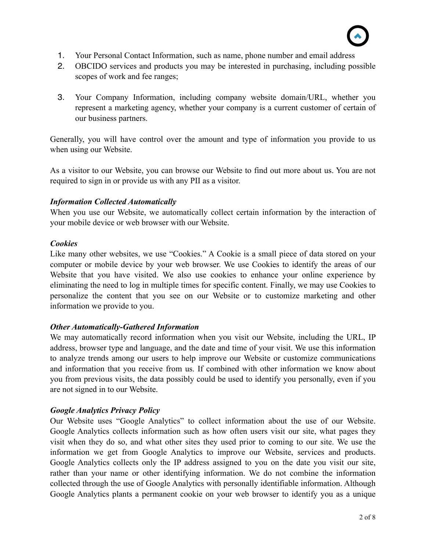

- 1. Your Personal Contact Information, such as name, phone number and email address
- 2. OBCIDO services and products you may be interested in purchasing, including possible scopes of work and fee ranges;
- 3. Your Company Information, including company website domain/URL, whether you represent a marketing agency, whether your company is a current customer of certain of our business partners.

Generally, you will have control over the amount and type of information you provide to us when using our Website.

As a visitor to our Website, you can browse our Website to find out more about us. You are not required to sign in or provide us with any PII as a visitor.

# *Information Collected Automatically*

When you use our Website, we automatically collect certain information by the interaction of your mobile device or web browser with our Website.

## *Cookies*

Like many other websites, we use "Cookies." A Cookie is a small piece of data stored on your computer or mobile device by your web browser. We use Cookies to identify the areas of our Website that you have visited. We also use cookies to enhance your online experience by eliminating the need to log in multiple times for specific content. Finally, we may use Cookies to personalize the content that you see on our Website or to customize marketing and other information we provide to you.

# *Other Automatically-Gathered Information*

We may automatically record information when you visit our Website, including the URL, IP address, browser type and language, and the date and time of your visit. We use this information to analyze trends among our users to help improve our Website or customize communications and information that you receive from us. If combined with other information we know about you from previous visits, the data possibly could be used to identify you personally, even if you are not signed in to our Website.

# *Google Analytics Privacy Policy*

Our Website uses "Google Analytics" to collect information about the use of our Website. Google Analytics collects information such as how often users visit our site, what pages they visit when they do so, and what other sites they used prior to coming to our site. We use the information we get from Google Analytics to improve our Website, services and products. Google Analytics collects only the IP address assigned to you on the date you visit our site, rather than your name or other identifying information. We do not combine the information collected through the use of Google Analytics with personally identifiable information. Although Google Analytics plants a permanent cookie on your web browser to identify you as a unique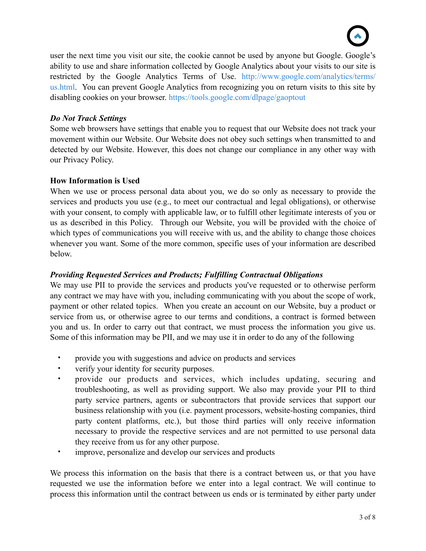

user the next time you visit our site, the cookie cannot be used by anyone but Google. Google's ability to use and share information collected by Google Analytics about your visits to our site is restricted by the Google Analytics Terms of Use. [http://www.google.com/analytics/terms/](http://www.google.com/analytics/terms/us.html) [us.html.](http://www.google.com/analytics/terms/us.html) You can prevent Google Analytics from recognizing you on return visits to this site by disabling cookies on your browser. <https://tools.google.com/dlpage/gaoptout>

# *Do Not Track Settings*

Some web browsers have settings that enable you to request that our Website does not track your movement within our Website. Our Website does not obey such settings when transmitted to and detected by our Website. However, this does not change our compliance in any other way with our Privacy Policy.

## **How Information is Used**

When we use or process personal data about you, we do so only as necessary to provide the services and products you use (e.g., to meet our contractual and legal obligations), or otherwise with your consent, to comply with applicable law, or to fulfill other legitimate interests of you or us as described in this Policy. Through our Website, you will be provided with the choice of which types of communications you will receive with us, and the ability to change those choices whenever you want. Some of the more common, specific uses of your information are described below.

# *Providing Requested Services and Products; Fulfilling Contractual Obligations*

We may use PII to provide the services and products you've requested or to otherwise perform any contract we may have with you, including communicating with you about the scope of work, payment or other related topics. When you create an account on our Website, buy a product or service from us, or otherwise agree to our terms and conditions, a contract is formed between you and us. In order to carry out that contract, we must process the information you give us. Some of this information may be PII, and we may use it in order to do any of the following

- provide you with suggestions and advice on products and services
- verify your identity for security purposes.
- provide our products and services, which includes updating, securing and troubleshooting, as well as providing support. We also may provide your PII to third party service partners, agents or subcontractors that provide services that support our business relationship with you (i.e. payment processors, website-hosting companies, third party content platforms, etc.), but those third parties will only receive information necessary to provide the respective services and are not permitted to use personal data they receive from us for any other purpose.
- improve, personalize and develop our services and products

We process this information on the basis that there is a contract between us, or that you have requested we use the information before we enter into a legal contract. We will continue to process this information until the contract between us ends or is terminated by either party under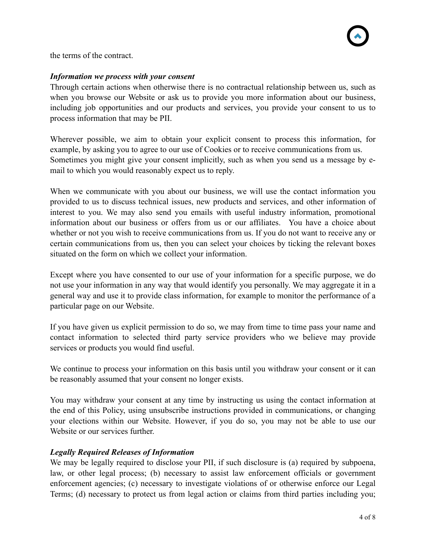the terms of the contract.

#### *Information we process with your consent*

Through certain actions when otherwise there is no contractual relationship between us, such as when you browse our Website or ask us to provide you more information about our business, including job opportunities and our products and services, you provide your consent to us to process information that may be PII.

Wherever possible, we aim to obtain your explicit consent to process this information, for example, by asking you to agree to our use of Cookies or to receive communications from us. Sometimes you might give your consent implicitly, such as when you send us a message by email to which you would reasonably expect us to reply.

When we communicate with you about our business, we will use the contact information you provided to us to discuss technical issues, new products and services, and other information of interest to you. We may also send you emails with useful industry information, promotional information about our business or offers from us or our affiliates. You have a choice about whether or not you wish to receive communications from us. If you do not want to receive any or certain communications from us, then you can select your choices by ticking the relevant boxes situated on the form on which we collect your information.

Except where you have consented to our use of your information for a specific purpose, we do not use your information in any way that would identify you personally. We may aggregate it in a general way and use it to provide class information, for example to monitor the performance of a particular page on our Website.

If you have given us explicit permission to do so, we may from time to time pass your name and contact information to selected third party service providers who we believe may provide services or products you would find useful.

We continue to process your information on this basis until you withdraw your consent or it can be reasonably assumed that your consent no longer exists.

You may withdraw your consent at any time by instructing us using the contact information at the end of this Policy, using unsubscribe instructions provided in communications, or changing your elections within our Website. However, if you do so, you may not be able to use our Website or our services further.

# *Legally Required Releases of Information*

We may be legally required to disclose your PII, if such disclosure is (a) required by subpoena, law, or other legal process; (b) necessary to assist law enforcement officials or government enforcement agencies; (c) necessary to investigate violations of or otherwise enforce our Legal Terms; (d) necessary to protect us from legal action or claims from third parties including you;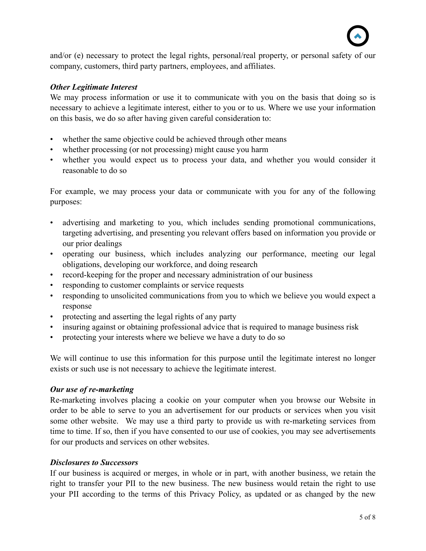

and/or (e) necessary to protect the legal rights, personal/real property, or personal safety of our company, customers, third party partners, employees, and affiliates.

#### *Other Legitimate Interest*

We may process information or use it to communicate with you on the basis that doing so is necessary to achieve a legitimate interest, either to you or to us. Where we use your information on this basis, we do so after having given careful consideration to:

- whether the same objective could be achieved through other means
- whether processing (or not processing) might cause you harm
- whether you would expect us to process your data, and whether you would consider it reasonable to do so

For example, we may process your data or communicate with you for any of the following purposes:

- advertising and marketing to you, which includes sending promotional communications, targeting advertising, and presenting you relevant offers based on information you provide or our prior dealings
- operating our business, which includes analyzing our performance, meeting our legal obligations, developing our workforce, and doing research
- record-keeping for the proper and necessary administration of our business
- responding to customer complaints or service requests
- responding to unsolicited communications from you to which we believe you would expect a response
- protecting and asserting the legal rights of any party
- insuring against or obtaining professional advice that is required to manage business risk
- protecting your interests where we believe we have a duty to do so

We will continue to use this information for this purpose until the legitimate interest no longer exists or such use is not necessary to achieve the legitimate interest.

#### *Our use of re-marketing*

Re-marketing involves placing a cookie on your computer when you browse our Website in order to be able to serve to you an advertisement for our products or services when you visit some other website. We may use a third party to provide us with re-marketing services from time to time. If so, then if you have consented to our use of cookies, you may see advertisements for our products and services on other websites.

#### *Disclosures to Successors*

If our business is acquired or merges, in whole or in part, with another business, we retain the right to transfer your PII to the new business. The new business would retain the right to use your PII according to the terms of this Privacy Policy, as updated or as changed by the new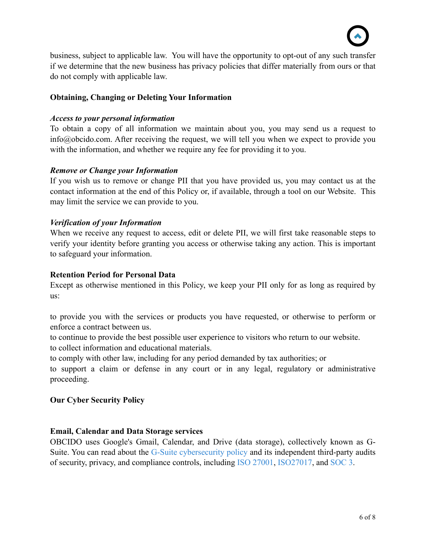

business, subject to applicable law. You will have the opportunity to opt-out of any such transfer if we determine that the new business has privacy policies that differ materially from ours or that do not comply with applicable law.

# **Obtaining, Changing or Deleting Your Information**

#### *Access to your personal information*

To obtain a copy of all information we maintain about you, you may send us a request to info@obcido.com. After receiving the request, we will tell you when we expect to provide you with the information, and whether we require any fee for providing it to you.

#### *Remove or Change your Information*

If you wish us to remove or change PII that you have provided us, you may contact us at the contact information at the end of this Policy or, if available, through a tool on our Website. This may limit the service we can provide to you.

#### *Verification of your Information*

When we receive any request to access, edit or delete PII, we will first take reasonable steps to verify your identity before granting you access or otherwise taking any action. This is important to safeguard your information.

#### **Retention Period for Personal Data**

Except as otherwise mentioned in this Policy, we keep your PII only for as long as required by us:

to provide you with the services or products you have requested, or otherwise to perform or enforce a contract between us.

to continue to provide the best possible user experience to visitors who return to our website.

to collect information and educational materials.

to comply with other law, including for any period demanded by tax authorities; or

to support a claim or defense in any court or in any legal, regulatory or administrative proceeding.

#### **Our Cyber Security Policy**

#### **Email, Calendar and Data Storage services**

OBCIDO uses Google's Gmail, Calendar, and Drive (data storage), collectively known as G-Suite. You can read about the [G-Suite cybersecurity policy](https://static.googleusercontent.com/media/gsuite.google.com/en//security/g-suite-security-ebook.pdf) and its independent third-party audits of security, privacy, and compliance controls, including [ISO 27001](https://services.google.com/fh/files/misc/google_cloud_iso_2017.pdf), [ISO27017,](https://services.google.com/fh/files/misc/google_cloud_iso_2017.pdf) and [SOC 3](https://cloud.google.com/security/compliance/soc-3/).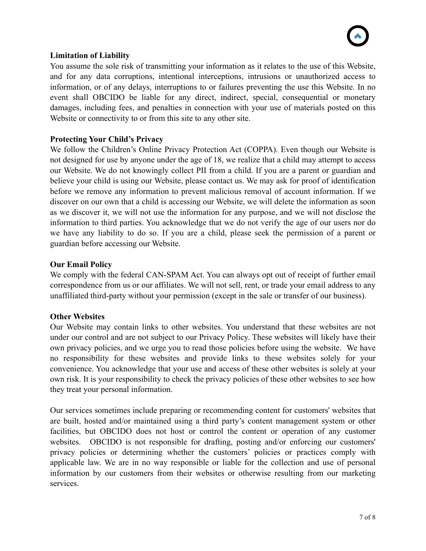# **Limitation of Liability**

You assume the sole risk of transmitting your information as it relates to the use of this Website, and for any data corruptions, intentional interceptions, intrusions or unauthorized access to information, or of any delays, interruptions to or failures preventing the use this Website. In no event shall OBCIDO be liable for any direct, indirect, special, consequential or monetary damages, including fees, and penalties in connection with your use of materials posted on this Website or connectivity to or from this site to any other site.

## **Protecting Your Child's Privacy**

We follow the Children's Online Privacy Protection Act (COPPA). Even though our Website is not designed for use by anyone under the age of 18, we realize that a child may attempt to access our Website. We do not knowingly collect PII from a child. If you are a parent or guardian and believe your child is using our Website, please contact us. We may ask for proof of identification before we remove any information to prevent malicious removal of account information. If we discover on our own that a child is accessing our Website, we will delete the information as soon as we discover it, we will not use the information for any purpose, and we will not disclose the information to third parties. You acknowledge that we do not verify the age of our users nor do we have any liability to do so. If you are a child, please seek the permission of a parent or guardian before accessing our Website.

## **Our Email Policy**

We comply with the federal CAN-SPAM Act. You can always opt out of receipt of further email correspondence from us or our affiliates. We will not sell, rent, or trade your email address to any unaffiliated third-party without your permission (except in the sale or transfer of our business).

#### **Other Websites**

Our Website may contain links to other websites. You understand that these websites are not under our control and are not subject to our Privacy Policy. These websites will likely have their own privacy policies, and we urge you to read those policies before using the website. We have no responsibility for these websites and provide links to these websites solely for your convenience. You acknowledge that your use and access of these other websites is solely at your own risk. It is your responsibility to check the privacy policies of these other websites to see how they treat your personal information.

Our services sometimes include preparing or recommending content for customers' websites that are built, hosted and/or maintained using a third party's content management system or other facilities, but OBCIDO does not host or control the content or operation of any customer websites. OBCIDO is not responsible for drafting, posting and/or enforcing our customers' privacy policies or determining whether the customers' policies or practices comply with applicable law. We are in no way responsible or liable for the collection and use of personal information by our customers from their websites or otherwise resulting from our marketing services.